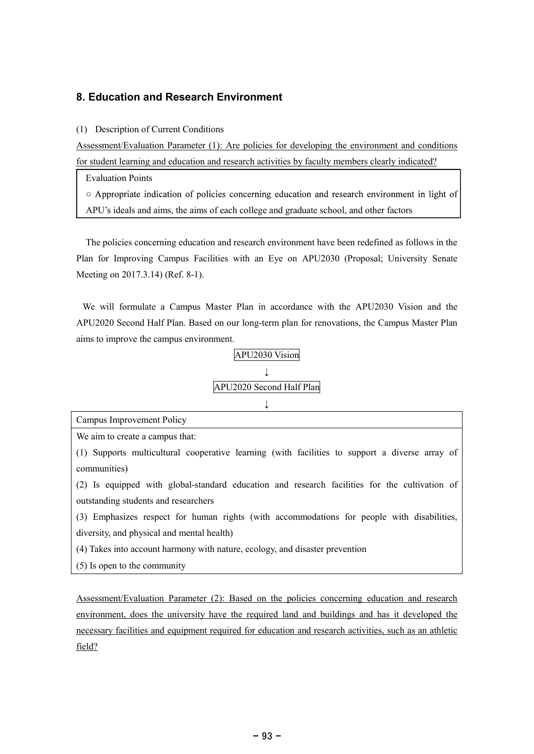# 8. Education and Research Environment

# (1) Description of Current Conditions

Assessment/Evaluation Parameter (1): Are policies for developing the environment and conditions for student learning and education and research activities by faculty members clearly indicated?

Evaluation Points

○ Appropriate indication of policies concerning education and research environment in light of APU's ideals and aims, the aims of each college and graduate school, and other factors

The policies concerning education and research environment have been redefined as follows in the Plan for Improving Campus Facilities with an Eye on APU2030 (Proposal; University Senate Meeting on 2017.3.14) (Ref. 8-1).

We will formulate a Campus Master Plan in accordance with the APU2030 Vision and the APU2020 Second Half Plan. Based on our long-term plan for renovations, the Campus Master Plan aims to improve the campus environment.



Campus Improvement Policy We aim to create a campus that: (1) Supports multicultural cooperative learning (with facilities to support a diverse array of communities) (2) Is equipped with global-standard education and research facilities for the cultivation of outstanding students and researchers (3) Emphasizes respect for human rights (with accommodations for people with disabilities, diversity, and physical and mental health) (4) Takes into account harmony with nature, ecology, and disaster prevention (5) Is open to the community

Assessment/Evaluation Parameter (2): Based on the policies concerning education and research environment, does the university have the required land and buildings and has it developed the necessary facilities and equipment required for education and research activities, such as an athletic field?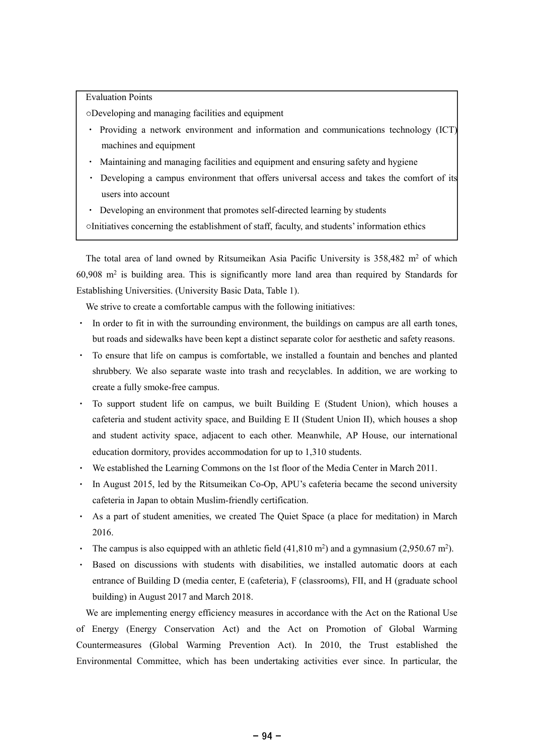# Evaluation Points

Developing and managing facilities and equipment

- Providing a network environment and information and communications technology (ICT) machines and equipment
- Maintaining and managing facilities and equipment and ensuring safety and hygiene
- Developing a campus environment that offers universal access and takes the comfort of its users into account
- Developing an environment that promotes self-directed learning by students
- Initiatives concerning the establishment of staff, faculty, and students' information ethics

The total area of land owned by Ritsumeikan Asia Pacific University is 358,482 m<sup>2</sup> of which 60,908 m<sup>2</sup> is building area. This is significantly more land area than required by Standards for Establishing Universities. (University Basic Data, Table 1).

We strive to create a comfortable campus with the following initiatives:

- In order to fit in with the surrounding environment, the buildings on campus are all earth tones, but roads and sidewalks have been kept a distinct separate color for aesthetic and safety reasons.
- To ensure that life on campus is comfortable, we installed a fountain and benches and planted shrubbery. We also separate waste into trash and recyclables. In addition, we are working to create a fully smoke-free campus.
- To support student life on campus, we built Building E (Student Union), which houses a cafeteria and student activity space, and Building E II (Student Union II), which houses a shop and student activity space, adjacent to each other. Meanwhile, AP House, our international education dormitory, provides accommodation for up to 1,310 students.
- We established the Learning Commons on the 1st floor of the Media Center in March 2011.
- In August 2015, led by the Ritsumeikan Co-Op, APU's cafeteria became the second university cafeteria in Japan to obtain Muslim-friendly certification.
- As a part of student amenities, we created The Quiet Space (a place for meditation) in March 2016.
- The campus is also equipped with an athletic field  $(41,810 \text{ m}^2)$  and a gymnasium  $(2,950.67 \text{ m}^2)$ .
- Based on discussions with students with disabilities, we installed automatic doors at each entrance of Building D (media center, E (cafeteria), F (classrooms), FII, and H (graduate school building) in August 2017 and March 2018.

We are implementing energy efficiency measures in accordance with the Act on the Rational Use of Energy (Energy Conservation Act) and the Act on Promotion of Global Warming Countermeasures (Global Warming Prevention Act). In 2010, the Trust established the Environmental Committee, which has been undertaking activities ever since. In particular, the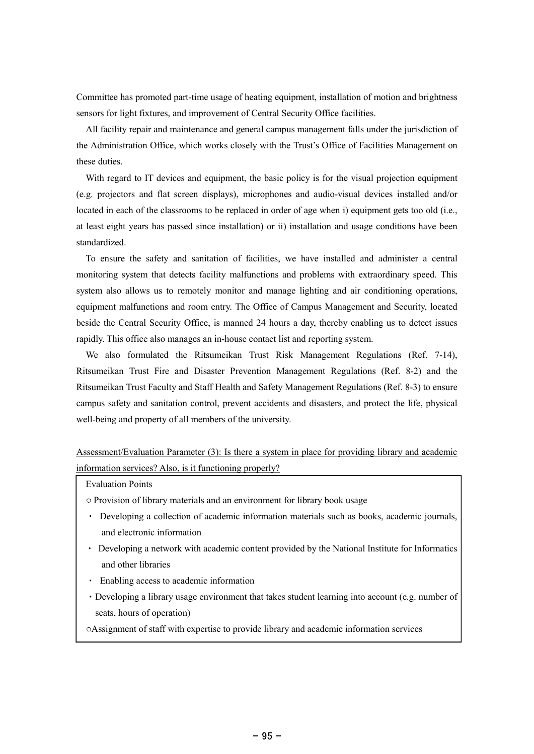Committee has promoted part-time usage of heating equipment, installation of motion and brightness sensors for light fixtures, and improvement of Central Security Office facilities.

All facility repair and maintenance and general campus management falls under the jurisdiction of the Administration Office, which works closely with the Trust's Office of Facilities Management on these duties.

With regard to IT devices and equipment, the basic policy is for the visual projection equipment (e.g. projectors and flat screen displays), microphones and audio-visual devices installed and/or located in each of the classrooms to be replaced in order of age when i) equipment gets too old (i.e., at least eight years has passed since installation) or ii) installation and usage conditions have been standardized.

To ensure the safety and sanitation of facilities, we have installed and administer a central monitoring system that detects facility malfunctions and problems with extraordinary speed. This system also allows us to remotely monitor and manage lighting and air conditioning operations, equipment malfunctions and room entry. The Office of Campus Management and Security, located beside the Central Security Office, is manned 24 hours a day, thereby enabling us to detect issues rapidly. This office also manages an in-house contact list and reporting system.

We also formulated the Ritsumeikan Trust Risk Management Regulations (Ref. 7-14), Ritsumeikan Trust Fire and Disaster Prevention Management Regulations (Ref. 8-2) and the Ritsumeikan Trust Faculty and Staff Health and Safety Management Regulations (Ref. 8-3) to ensure campus safety and sanitation control, prevent accidents and disasters, and protect the life, physical well-being and property of all members of the university.

# Assessment/Evaluation Parameter (3): Is there a system in place for providing library and academic information services? Also, is it functioning properly?

Evaluation Points

Provision of library materials and an environment for library book usage

- Developing a collection of academic information materials such as books, academic journals, and electronic information
- Developing a network with academic content provided by the National Institute for Informatics and other libraries
- Enabling access to academic information
- Developing a library usage environment that takes student learning into account (e.g. number of seats, hours of operation)
- Assignment of staff with expertise to provide library and academic information services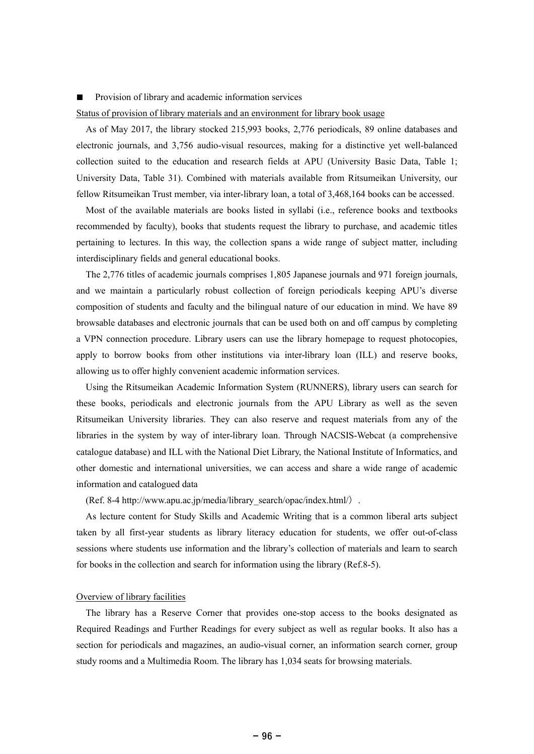#### Provision of library and academic information services

### Status of provision of library materials and an environment for library book usage

As of May 2017, the library stocked 215,993 books, 2,776 periodicals, 89 online databases and electronic journals, and 3,756 audio-visual resources, making for a distinctive yet well-balanced collection suited to the education and research fields at APU (University Basic Data, Table 1; University Data, Table 31). Combined with materials available from Ritsumeikan University, our fellow Ritsumeikan Trust member, via inter-library loan, a total of 3,468,164 books can be accessed.

Most of the available materials are books listed in syllabi (i.e., reference books and textbooks recommended by faculty), books that students request the library to purchase, and academic titles pertaining to lectures. In this way, the collection spans a wide range of subject matter, including interdisciplinary fields and general educational books.

The 2,776 titles of academic journals comprises 1,805 Japanese journals and 971 foreign journals, and we maintain a particularly robust collection of foreign periodicals keeping APU's diverse composition of students and faculty and the bilingual nature of our education in mind. We have 89 browsable databases and electronic journals that can be used both on and off campus by completing a VPN connection procedure. Library users can use the library homepage to request photocopies, apply to borrow books from other institutions via inter-library loan (ILL) and reserve books, allowing us to offer highly convenient academic information services.

Using the Ritsumeikan Academic Information System (RUNNERS), library users can search for these books, periodicals and electronic journals from the APU Library as well as the seven Ritsumeikan University libraries. They can also reserve and request materials from any of the libraries in the system by way of inter-library loan. Through NACSIS-Webcat (a comprehensive catalogue database) and ILL with the National Diet Library, the National Institute of Informatics, and other domestic and international universities, we can access and share a wide range of academic information and catalogued data

(Ref. 8-4 http://www.apu.ac.jp/media/library\_search/opac/index.html/ .

As lecture content for Study Skills and Academic Writing that is a common liberal arts subject taken by all first-year students as library literacy education for students, we offer out-of-class sessions where students use information and the library's collection of materials and learn to search for books in the collection and search for information using the library (Ref.8-5).

### Overview of library facilities

The library has a Reserve Corner that provides one-stop access to the books designated as Required Readings and Further Readings for every subject as well as regular books. It also has a section for periodicals and magazines, an audio-visual corner, an information search corner, group study rooms and a Multimedia Room. The library has 1,034 seats for browsing materials.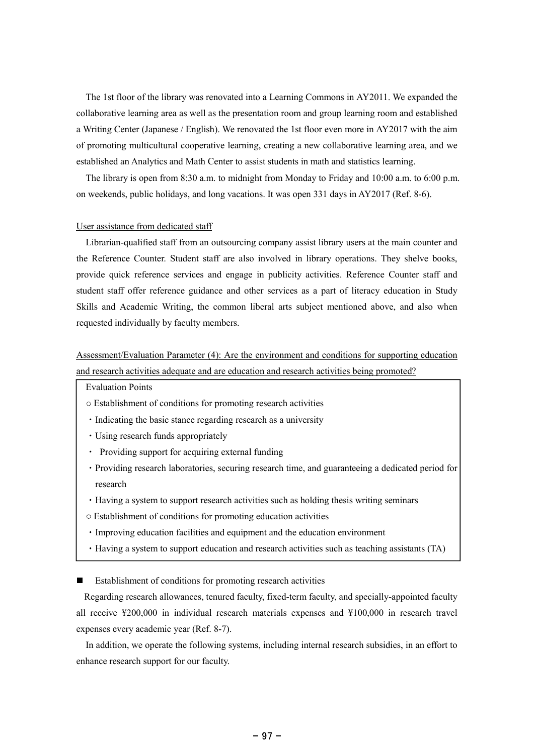The 1st floor of the library was renovated into a Learning Commons in AY2011. We expanded the collaborative learning area as well as the presentation room and group learning room and established a Writing Center (Japanese / English). We renovated the 1st floor even more in AY2017 with the aim of promoting multicultural cooperative learning, creating a new collaborative learning area, and we established an Analytics and Math Center to assist students in math and statistics learning.

The library is open from 8:30 a.m. to midnight from Monday to Friday and 10:00 a.m. to 6:00 p.m. on weekends, public holidays, and long vacations. It was open 331 days in AY2017 (Ref. 8-6).

## User assistance from dedicated staff

Librarian-qualified staff from an outsourcing company assist library users at the main counter and the Reference Counter. Student staff are also involved in library operations. They shelve books, provide quick reference services and engage in publicity activities. Reference Counter staff and student staff offer reference guidance and other services as a part of literacy education in Study Skills and Academic Writing, the common liberal arts subject mentioned above, and also when requested individually by faculty members.

# Assessment/Evaluation Parameter (4): Are the environment and conditions for supporting education and research activities adequate and are education and research activities being promoted?

Evaluation Points

- Establishment of conditions for promoting research activities
- Indicating the basic stance regarding research as a university
- Using research funds appropriately
- Providing support for acquiring external funding
- Providing research laboratories, securing research time, and guaranteeing a dedicated period for research
- Having a system to support research activities such as holding thesis writing seminars
- Establishment of conditions for promoting education activities
- Improving education facilities and equipment and the education environment
- Having a system to support education and research activities such as teaching assistants (TA)

Establishment of conditions for promoting research activities

Regarding research allowances, tenured faculty, fixed-term faculty, and specially-appointed faculty all receive ¥200,000 in individual research materials expenses and ¥100,000 in research travel expenses every academic year (Ref. 8-7).

In addition, we operate the following systems, including internal research subsidies, in an effort to enhance research support for our faculty.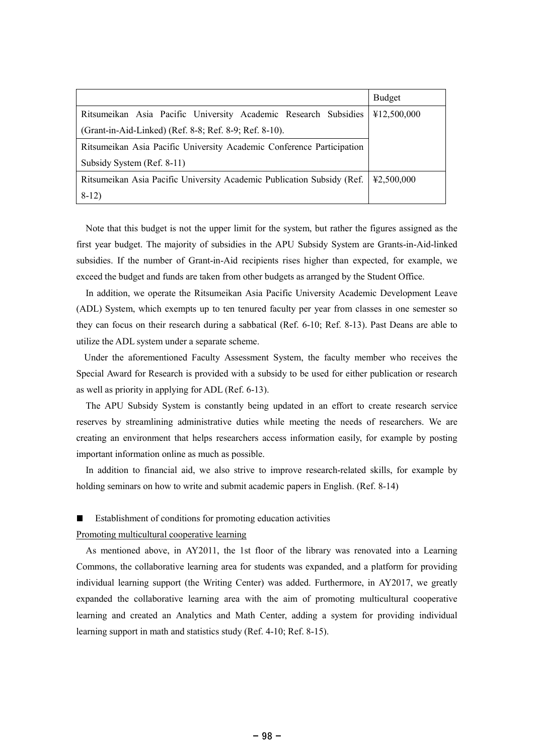|                                                                        | <b>Budget</b> |
|------------------------------------------------------------------------|---------------|
| Ritsumeikan Asia Pacific University Academic Research Subsidies        | ¥12,500,000   |
| (Grant-in-Aid-Linked) (Ref. 8-8; Ref. 8-9; Ref. 8-10).                 |               |
| Ritsumeikan Asia Pacific University Academic Conference Participation  |               |
| Subsidy System (Ref. 8-11)                                             |               |
| Ritsumeikan Asia Pacific University Academic Publication Subsidy (Ref. | 42,500,000    |
| $8-12)$                                                                |               |

Note that this budget is not the upper limit for the system, but rather the figures assigned as the first year budget. The majority of subsidies in the APU Subsidy System are Grants-in-Aid-linked subsidies. If the number of Grant-in-Aid recipients rises higher than expected, for example, we exceed the budget and funds are taken from other budgets as arranged by the Student Office.

In addition, we operate the Ritsumeikan Asia Pacific University Academic Development Leave (ADL) System, which exempts up to ten tenured faculty per year from classes in one semester so they can focus on their research during a sabbatical (Ref. 6-10; Ref. 8-13). Past Deans are able to utilize the ADL system under a separate scheme.

Under the aforementioned Faculty Assessment System, the faculty member who receives the Special Award for Research is provided with a subsidy to be used for either publication or research as well as priority in applying for ADL (Ref. 6-13).

The APU Subsidy System is constantly being updated in an effort to create research service reserves by streamlining administrative duties while meeting the needs of researchers. We are creating an environment that helps researchers access information easily, for example by posting important information online as much as possible.

In addition to financial aid, we also strive to improve research-related skills, for example by holding seminars on how to write and submit academic papers in English. (Ref. 8-14)

## Establishment of conditions for promoting education activities

## Promoting multicultural cooperative learning

As mentioned above, in AY2011, the 1st floor of the library was renovated into a Learning Commons, the collaborative learning area for students was expanded, and a platform for providing individual learning support (the Writing Center) was added. Furthermore, in AY2017, we greatly expanded the collaborative learning area with the aim of promoting multicultural cooperative learning and created an Analytics and Math Center, adding a system for providing individual learning support in math and statistics study (Ref. 4-10; Ref. 8-15).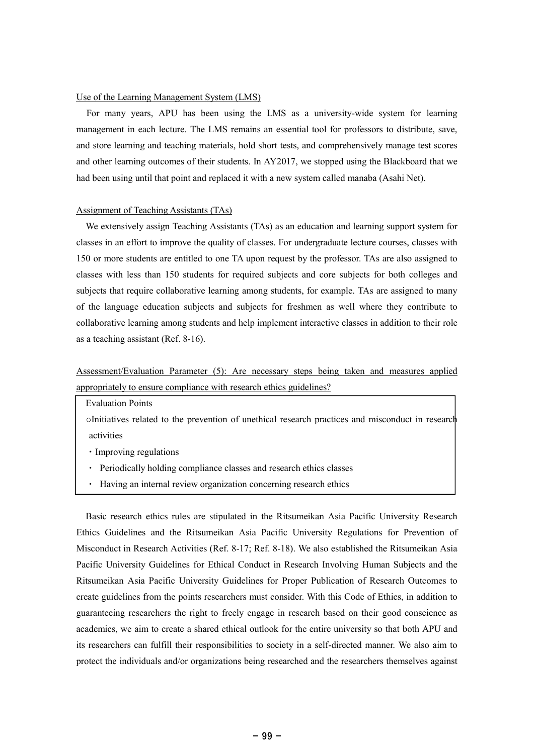# Use of the Learning Management System (LMS)

For many years, APU has been using the LMS as a university-wide system for learning management in each lecture. The LMS remains an essential tool for professors to distribute, save, and store learning and teaching materials, hold short tests, and comprehensively manage test scores and other learning outcomes of their students. In AY2017, we stopped using the Blackboard that we had been using until that point and replaced it with a new system called manaba (Asahi Net).

### Assignment of Teaching Assistants (TAs)

We extensively assign Teaching Assistants (TAs) as an education and learning support system for classes in an effort to improve the quality of classes. For undergraduate lecture courses, classes with 150 or more students are entitled to one TA upon request by the professor. TAs are also assigned to classes with less than 150 students for required subjects and core subjects for both colleges and subjects that require collaborative learning among students, for example. TAs are assigned to many of the language education subjects and subjects for freshmen as well where they contribute to collaborative learning among students and help implement interactive classes in addition to their role as a teaching assistant (Ref. 8-16).

# Assessment/Evaluation Parameter (5): Are necessary steps being taken and measures applied appropriately to ensure compliance with research ethics guidelines?

Evaluation Points

Initiatives related to the prevention of unethical research practices and misconduct in research activities

- Improving regulations
- Periodically holding compliance classes and research ethics classes
- Having an internal review organization concerning research ethics

Basic research ethics rules are stipulated in the Ritsumeikan Asia Pacific University Research Ethics Guidelines and the Ritsumeikan Asia Pacific University Regulations for Prevention of Misconduct in Research Activities (Ref. 8-17; Ref. 8-18). We also established the Ritsumeikan Asia Pacific University Guidelines for Ethical Conduct in Research Involving Human Subjects and the Ritsumeikan Asia Pacific University Guidelines for Proper Publication of Research Outcomes to create guidelines from the points researchers must consider. With this Code of Ethics, in addition to guaranteeing researchers the right to freely engage in research based on their good conscience as academics, we aim to create a shared ethical outlook for the entire university so that both APU and its researchers can fulfill their responsibilities to society in a self-directed manner. We also aim to protect the individuals and/or organizations being researched and the researchers themselves against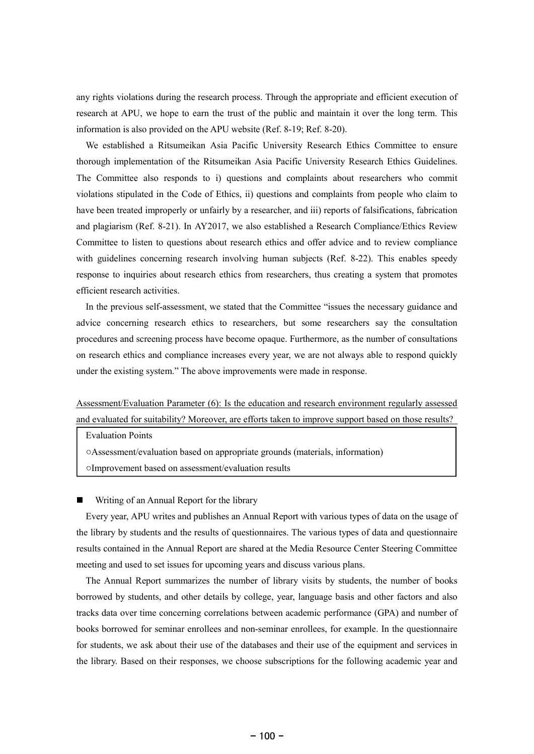any rights violations during the research process. Through the appropriate and efficient execution of research at APU, we hope to earn the trust of the public and maintain it over the long term. This information is also provided on the APU website (Ref. 8-19; Ref. 8-20).

We established a Ritsumeikan Asia Pacific University Research Ethics Committee to ensure thorough implementation of the Ritsumeikan Asia Pacific University Research Ethics Guidelines. The Committee also responds to i) questions and complaints about researchers who commit violations stipulated in the Code of Ethics, ii) questions and complaints from people who claim to have been treated improperly or unfairly by a researcher, and iii) reports of falsifications, fabrication and plagiarism (Ref. 8-21). In AY2017, we also established a Research Compliance/Ethics Review Committee to listen to questions about research ethics and offer advice and to review compliance with guidelines concerning research involving human subjects (Ref. 8-22). This enables speedy response to inquiries about research ethics from researchers, thus creating a system that promotes efficient research activities.

In the previous self-assessment, we stated that the Committee "issues the necessary guidance and advice concerning research ethics to researchers, but some researchers say the consultation procedures and screening process have become opaque. Furthermore, as the number of consultations on research ethics and compliance increases every year, we are not always able to respond quickly under the existing system." The above improvements were made in response.

Assessment/Evaluation Parameter (6): Is the education and research environment regularly assessed and evaluated for suitability? Moreover, are efforts taken to improve support based on those results?

Evaluation Points

Assessment/evaluation based on appropriate grounds (materials, information) Improvement based on assessment/evaluation results

Writing of an Annual Report for the library

Every year, APU writes and publishes an Annual Report with various types of data on the usage of the library by students and the results of questionnaires. The various types of data and questionnaire results contained in the Annual Report are shared at the Media Resource Center Steering Committee meeting and used to set issues for upcoming years and discuss various plans.

The Annual Report summarizes the number of library visits by students, the number of books borrowed by students, and other details by college, year, language basis and other factors and also tracks data over time concerning correlations between academic performance (GPA) and number of books borrowed for seminar enrollees and non-seminar enrollees, for example. In the questionnaire for students, we ask about their use of the databases and their use of the equipment and services in the library. Based on their responses, we choose subscriptions for the following academic year and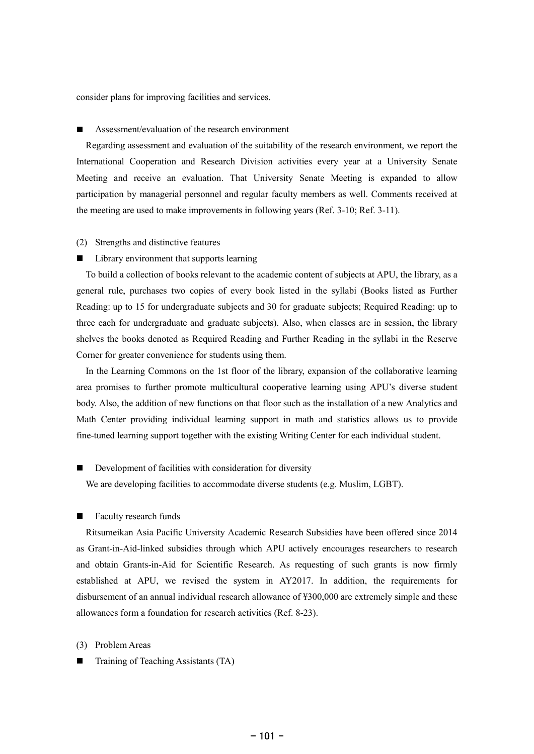consider plans for improving facilities and services.

#### Assessment/evaluation of the research environment П

Regarding assessment and evaluation of the suitability of the research environment, we report the International Cooperation and Research Division activities every year at a University Senate Meeting and receive an evaluation. That University Senate Meeting is expanded to allow participation by managerial personnel and regular faculty members as well. Comments received at the meeting are used to make improvements in following years (Ref. 3-10; Ref. 3-11).

(2) Strengths and distinctive features

#### $\blacksquare$ Library environment that supports learning

To build a collection of books relevant to the academic content of subjects at APU, the library, as a general rule, purchases two copies of every book listed in the syllabi (Books listed as Further Reading: up to 15 for undergraduate subjects and 30 for graduate subjects; Required Reading: up to three each for undergraduate and graduate subjects). Also, when classes are in session, the library shelves the books denoted as Required Reading and Further Reading in the syllabi in the Reserve Corner for greater convenience for students using them.

In the Learning Commons on the 1st floor of the library, expansion of the collaborative learning area promises to further promote multicultural cooperative learning using APU's diverse student body. Also, the addition of new functions on that floor such as the installation of a new Analytics and Math Center providing individual learning support in math and statistics allows us to provide fine-tuned learning support together with the existing Writing Center for each individual student.

# Development of facilities with consideration for diversity

We are developing facilities to accommodate diverse students (e.g. Muslim, LGBT).

#### Faculty research funds П

Ritsumeikan Asia Pacific University Academic Research Subsidies have been offered since 2014 as Grant-in-Aid-linked subsidies through which APU actively encourages researchers to research and obtain Grants-in-Aid for Scientific Research. As requesting of such grants is now firmly established at APU, we revised the system in AY2017. In addition, the requirements for disbursement of an annual individual research allowance of ¥300,000 are extremely simple and these allowances form a foundation for research activities (Ref. 8-23).

- (3) Problem Areas
- Training of Teaching Assistants (TA)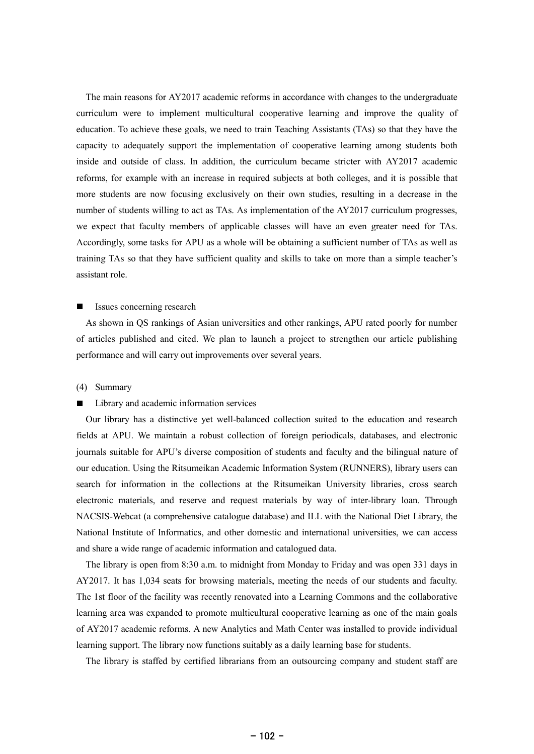The main reasons for AY2017 academic reforms in accordance with changes to the undergraduate curriculum were to implement multicultural cooperative learning and improve the quality of education. To achieve these goals, we need to train Teaching Assistants (TAs) so that they have the capacity to adequately support the implementation of cooperative learning among students both inside and outside of class. In addition, the curriculum became stricter with AY2017 academic reforms, for example with an increase in required subjects at both colleges, and it is possible that more students are now focusing exclusively on their own studies, resulting in a decrease in the number of students willing to act as TAs. As implementation of the AY2017 curriculum progresses, we expect that faculty members of applicable classes will have an even greater need for TAs. Accordingly, some tasks for APU as a whole will be obtaining a sufficient number of TAs as well as training TAs so that they have sufficient quality and skills to take on more than a simple teacher's assistant role.

#### Issues concerning research

As shown in QS rankings of Asian universities and other rankings, APU rated poorly for number of articles published and cited. We plan to launch a project to strengthen our article publishing performance and will carry out improvements over several years.

### (4) Summary

#### Library and academic information services

Our library has a distinctive yet well-balanced collection suited to the education and research fields at APU. We maintain a robust collection of foreign periodicals, databases, and electronic journals suitable for APU's diverse composition of students and faculty and the bilingual nature of our education. Using the Ritsumeikan Academic Information System (RUNNERS), library users can search for information in the collections at the Ritsumeikan University libraries, cross search electronic materials, and reserve and request materials by way of inter-library loan. Through NACSIS-Webcat (a comprehensive catalogue database) and ILL with the National Diet Library, the National Institute of Informatics, and other domestic and international universities, we can access and share a wide range of academic information and catalogued data.

The library is open from 8:30 a.m. to midnight from Monday to Friday and was open 331 days in AY2017. It has 1,034 seats for browsing materials, meeting the needs of our students and faculty. The 1st floor of the facility was recently renovated into a Learning Commons and the collaborative learning area was expanded to promote multicultural cooperative learning as one of the main goals of AY2017 academic reforms. A new Analytics and Math Center was installed to provide individual learning support. The library now functions suitably as a daily learning base for students.

The library is staffed by certified librarians from an outsourcing company and student staff are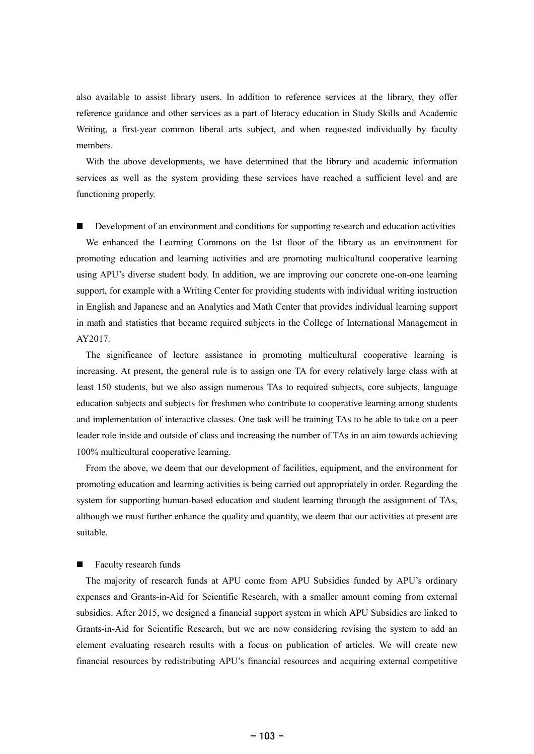also available to assist library users. In addition to reference services at the library, they offer reference guidance and other services as a part of literacy education in Study Skills and Academic Writing, a first-year common liberal arts subject, and when requested individually by faculty members.

With the above developments, we have determined that the library and academic information services as well as the system providing these services have reached a sufficient level and are functioning properly.

Development of an environment and conditions for supporting research and education activities П We enhanced the Learning Commons on the 1st floor of the library as an environment for promoting education and learning activities and are promoting multicultural cooperative learning using APU's diverse student body. In addition, we are improving our concrete one-on-one learning support, for example with a Writing Center for providing students with individual writing instruction in English and Japanese and an Analytics and Math Center that provides individual learning support in math and statistics that became required subjects in the College of International Management in AY2017.

The significance of lecture assistance in promoting multicultural cooperative learning is increasing. At present, the general rule is to assign one TA for every relatively large class with at least 150 students, but we also assign numerous TAs to required subjects, core subjects, language education subjects and subjects for freshmen who contribute to cooperative learning among students and implementation of interactive classes. One task will be training TAs to be able to take on a peer leader role inside and outside of class and increasing the number of TAs in an aim towards achieving 100% multicultural cooperative learning.

From the above, we deem that our development of facilities, equipment, and the environment for promoting education and learning activities is being carried out appropriately in order. Regarding the system for supporting human-based education and student learning through the assignment of TAs, although we must further enhance the quality and quantity, we deem that our activities at present are suitable.

# Faculty research funds

The majority of research funds at APU come from APU Subsidies funded by APU's ordinary expenses and Grants-in-Aid for Scientific Research, with a smaller amount coming from external subsidies. After 2015, we designed a financial support system in which APU Subsidies are linked to Grants-in-Aid for Scientific Research, but we are now considering revising the system to add an element evaluating research results with a focus on publication of articles. We will create new financial resources by redistributing APU's financial resources and acquiring external competitive